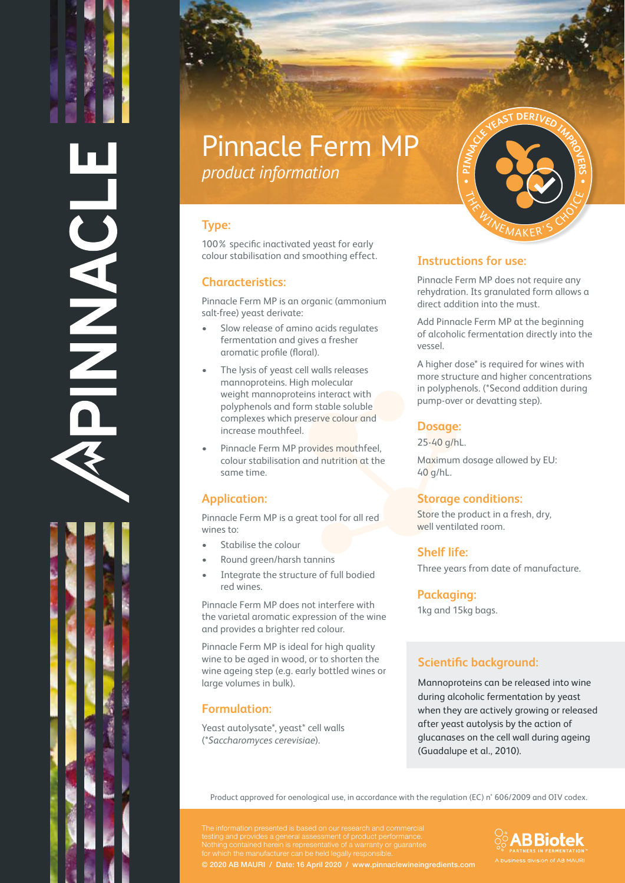DNASH

# Pinnacle Ferm MP *product information*

### **Type:**

100% specific inactivated yeast for early colour stabilisation and smoothing effect.

#### **Characteristics:**

Pinnacle Ferm MP is an organic (ammonium salt-free) yeast derivate:

- Slow release of amino acids regulates fermentation and gives a fresher aromatic profile (floral).
- The lysis of yeast cell walls releases mannoproteins. High molecular weight mannoproteins interact with polyphenols and form stable soluble complexes which preserve colour and increase mouthfeel.
- Pinnacle Ferm MP provides mouthfeel, colour stabilisation and nutrition at the same time.

#### **Application:**

Pinnacle Ferm MP is a great tool for all red wines to:

- Stabilise the colour
- Round green/harsh tannins
- Integrate the structure of full bodied red wines.

Pinnacle Ferm MP does not interfere with the varietal aromatic expression of the wine and provides a brighter red colour.

Pinnacle Ferm MP is ideal for high quality wine to be aged in wood, or to shorten the wine ageing step (e.g. early bottled wines or large volumes in bulk).

#### **Formulation:**

Yeast autolysate\*, yeast\* cell walls (\**Saccharomyces cerevisiae*).



#### **Instructions for use:**

Pinnacle Ferm MP does not require any rehydration. Its granulated form allows a direct addition into the must.

Add Pinnacle Ferm MP at the beginning of alcoholic fermentation directly into the vessel.

A higher dose\* is required for wines with more structure and higher concentrations in polyphenols. (\*Second addition during pump-over or devatting step).

#### **Dosage:**

25-40 g/hL.

Maximum dosage allowed by EU: 40 g/hL.

#### **Storage conditions:**

Store the product in a fresh, dry, well ventilated room.

#### **Shelf life:**

Three years from date of manufacture.

#### **Packaging:**

1kg and 15kg bags.

## **Scientific background:**

Mannoproteins can be released into wine during alcoholic fermentation by yeast when they are actively growing or released after yeast autolysis by the action of glucanases on the cell wall during ageing (Guadalupe et al., 2010).

Product approved for oenological use, in accordance with the regulation (EC) n° 606/2009 and OIV codex.

© 2020 AB MAURI / Date: 16 April 2020 / www.pinnaclewineingredients.com